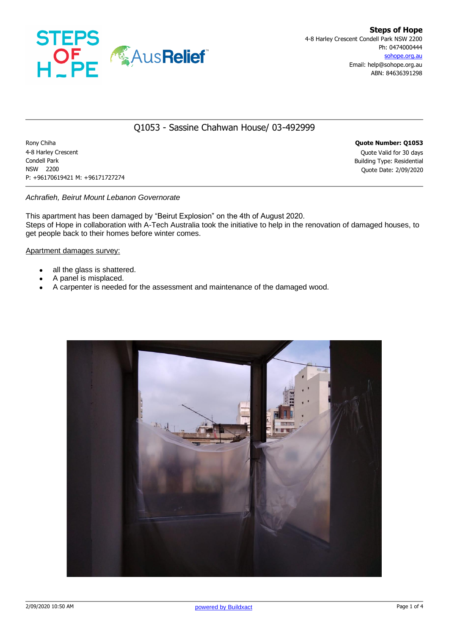

# Q1053 - Sassine Chahwan House/ 03-492999

Rony Chiha **Quote Number: Q1053** 4-8 Harley Crescent Quote Valid for 30 days Condell Park Building Type: Residential NSW 2200 Quote Date: 2/09/2020 P: +96170619421 M: +96171727274

### *Achrafieh, Beirut Mount Lebanon Governorate*

This apartment has been damaged by "Beirut Explosion" on the 4th of August 2020. Steps of Hope in collaboration with A-Tech Australia took the initiative to help in the renovation of damaged houses, to get people back to their homes before winter comes.

#### Apartment damages survey:

- all the glass is shattered.
- A panel is misplaced.
- A carpenter is needed for the assessment and maintenance of the damaged wood.

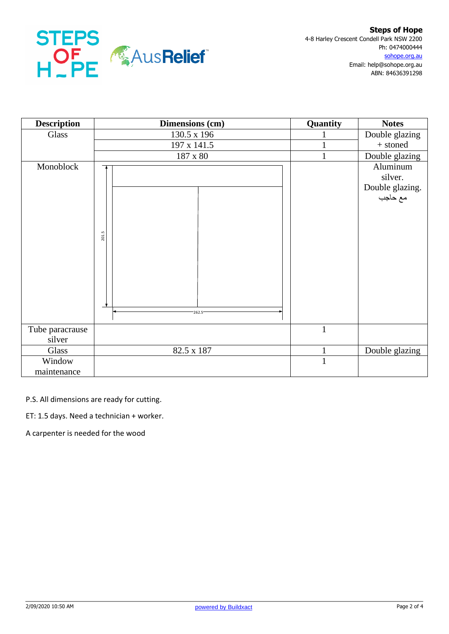

| <b>Description</b> | Dimensions (cm) | Quantity     | <b>Notes</b>                                      |
|--------------------|-----------------|--------------|---------------------------------------------------|
| Glass              | 130.5 x 196     |              | Double glazing                                    |
|                    | 197 x 141.5     |              | + stoned                                          |
|                    | $187$ x $80\,$  |              | Double glazing                                    |
| Monoblock          | 201.5           |              | Aluminum<br>silver.<br>Double glazing.<br>مع حاجب |
|                    | 262.5           |              |                                                   |
| Tube paracrause    |                 | $\mathbf{1}$ |                                                   |
| silver             |                 |              |                                                   |
| Glass              | 82.5 x 187      | $\mathbf{1}$ | Double glazing                                    |
| Window             |                 | $\mathbf{1}$ |                                                   |
| maintenance        |                 |              |                                                   |

P.S. All dimensions are ready for cutting.

ET: 1.5 days. Need a technician + worker.

A carpenter is needed for the wood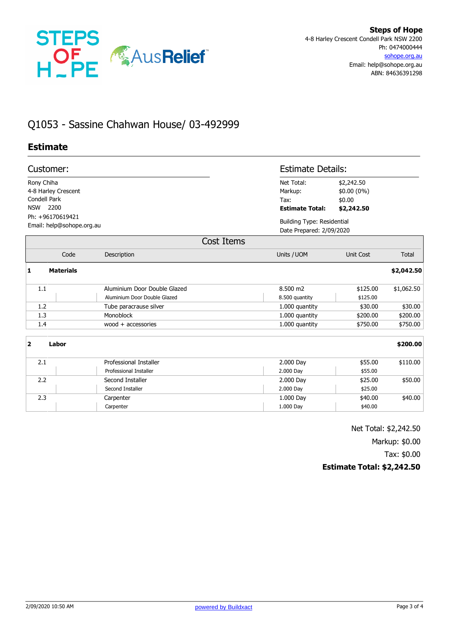

# Q1053 - Sassine Chahwan House/ 03-492999

## **Estimate**

| Customer:                                                                                          |                              |                                                         | <b>Estimate Details:</b>                                      |            |  |  |
|----------------------------------------------------------------------------------------------------|------------------------------|---------------------------------------------------------|---------------------------------------------------------------|------------|--|--|
| Rony Chiha<br>4-8 Harley Crescent<br><b>Condell Park</b><br>2200<br><b>NSW</b><br>Ph: +96170619421 |                              | Net Total:<br>Markup:<br>Tax:<br><b>Estimate Total:</b> | \$2,242.50<br>\$0.00 (0%)<br>\$0.00<br>\$2,242.50             |            |  |  |
| Email: help@sohope.org.au                                                                          |                              |                                                         | <b>Building Type: Residential</b><br>Date Prepared: 2/09/2020 |            |  |  |
| Cost Items                                                                                         |                              |                                                         |                                                               |            |  |  |
| Code                                                                                               | Description                  | Units / UOM                                             | Unit Cost                                                     | Total      |  |  |
| 1<br><b>Materials</b>                                                                              |                              |                                                         |                                                               | \$2,042.50 |  |  |
| 1.1                                                                                                | Aluminium Door Double Glazed | 8.500 m2                                                | \$125.00                                                      | \$1,062.50 |  |  |
|                                                                                                    | Aluminium Door Double Glazed | 8.500 quantity                                          | \$125.00                                                      |            |  |  |
| 1.2                                                                                                | Tube paracrause silver       | 1.000 quantity                                          | \$30.00                                                       | \$30.00    |  |  |
| 1.3                                                                                                | Monoblock                    | 1.000 quantity                                          | \$200.00                                                      | \$200.00   |  |  |
| 1.4                                                                                                | $wood + accessories$         | 1.000 quantity                                          | \$750.00                                                      | \$750.00   |  |  |
| 2<br>Labor                                                                                         |                              |                                                         |                                                               | \$200.00   |  |  |
| 2.1                                                                                                | Professional Installer       | 2.000 Day                                               | \$55.00                                                       | \$110.00   |  |  |
|                                                                                                    | Professional Installer       | 2.000 Day                                               | \$55.00                                                       |            |  |  |
| 2.2                                                                                                | Second Installer             | 2.000 Day                                               | \$25.00                                                       | \$50.00    |  |  |
|                                                                                                    | Second Installer             | 2.000 Day                                               | \$25.00                                                       |            |  |  |
| 2.3                                                                                                | Carpenter                    | 1.000 Day                                               | \$40.00                                                       | \$40.00    |  |  |
|                                                                                                    | Carpenter                    | 1.000 Day                                               | \$40.00                                                       |            |  |  |

Net Total: \$2,242.50

Markup: \$0.00

Tax: \$0.00

### **Estimate Total: \$2,242.50**